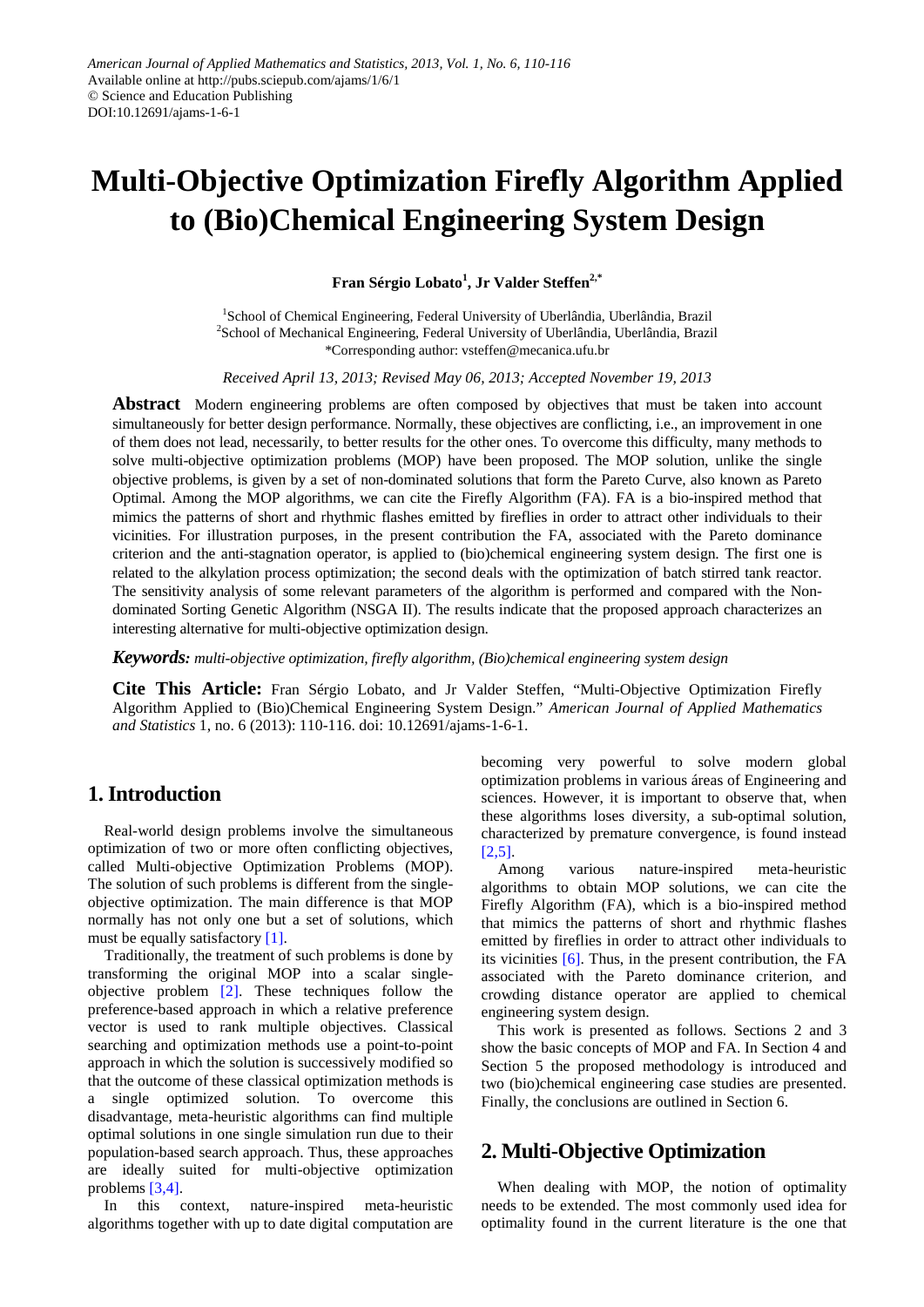# **Multi-Objective Optimization Firefly Algorithm Applied to (Bio)Chemical Engineering System Design**

**Fran Sérgio Lobato<sup>1</sup> , Jr Valder Steffen2,\***

<sup>1</sup>School of Chemical Engineering, Federal University of Uberlândia, Uberlândia, Brazil <sup>2</sup>School of Mechanical Engineering, Federal University of Uberlândia, Uberlândia, Brazil \*Corresponding author: vsteffen@mecanica.ufu.br

*Received April 13, 2013; Revised May 06, 2013; Accepted November 19, 2013*

**Abstract** Modern engineering problems are often composed by objectives that must be taken into account simultaneously for better design performance. Normally, these objectives are conflicting, i.e., an improvement in one of them does not lead, necessarily, to better results for the other ones. To overcome this difficulty, many methods to solve multi-objective optimization problems (MOP) have been proposed. The MOP solution, unlike the single objective problems, is given by a set of non-dominated solutions that form the Pareto Curve, also known as Pareto Optimal. Among the MOP algorithms, we can cite the Firefly Algorithm (FA). FA is a bio-inspired method that mimics the patterns of short and rhythmic flashes emitted by fireflies in order to attract other individuals to their vicinities. For illustration purposes, in the present contribution the FA, associated with the Pareto dominance criterion and the anti-stagnation operator, is applied to (bio)chemical engineering system design. The first one is related to the alkylation process optimization; the second deals with the optimization of batch stirred tank reactor. The sensitivity analysis of some relevant parameters of the algorithm is performed and compared with the Nondominated Sorting Genetic Algorithm (NSGA II). The results indicate that the proposed approach characterizes an interesting alternative for multi-objective optimization design.

*Keywords: multi-objective optimization, firefly algorithm, (Bio)chemical engineering system design*

**Cite This Article:** Fran Sérgio Lobato, and Jr Valder Steffen, "Multi-Objective Optimization Firefly Algorithm Applied to (Bio)Chemical Engineering System Design." *American Journal of Applied Mathematics and Statistics* 1, no. 6 (2013): 110-116. doi: 10.12691/ajams-1-6-1.

# **1. Introduction**

Real-world design problems involve the simultaneous optimization of two or more often conflicting objectives, called Multi-objective Optimization Problems (MOP). The solution of such problems is different from the singleobjective optimization. The main difference is that MOP normally has not only one but a set of solutions, which must be equally satisfactory [\[1\].](#page-6-0)

Traditionally, the treatment of such problems is done by transforming the original MOP into a scalar singleobjective problem [\[2\].](#page-6-1) These techniques follow the preference-based approach in which a relative preference vector is used to rank multiple objectives. Classical searching and optimization methods use a point-to-point approach in which the solution is successively modified so that the outcome of these classical optimization methods is a single optimized solution. To overcome this disadvantage, meta-heuristic algorithms can find multiple optimal solutions in one single simulation run due to their population-based search approach. Thus, these approaches are ideally suited for multi-objective optimization problems [\[3,4\].](#page-6-2)

In this context, nature-inspired meta-heuristic algorithms together with up to date digital computation are

becoming very powerful to solve modern global optimization problems in various áreas of Engineering and sciences. However, it is important to observe that, when these algorithms loses diversity, a sub-optimal solution, characterized by premature convergence, is found instead [\[2,5\].](#page-6-1)

Among various nature-inspired meta-heuristic algorithms to obtain MOP solutions, we can cite the Firefly Algorithm (FA), which is a bio-inspired method that mimics the patterns of short and rhythmic flashes emitted by fireflies in order to attract other individuals to its vicinities [\[6\].](#page-6-3) Thus, in the present contribution, the FA associated with the Pareto dominance criterion, and crowding distance operator are applied to chemical engineering system design.

This work is presented as follows. Sections 2 and 3 show the basic concepts of MOP and FA. In Section 4 and Section 5 the proposed methodology is introduced and two (bio)chemical engineering case studies are presented. Finally, the conclusions are outlined in Section 6.

# **2. Multi-Objective Optimization**

When dealing with MOP, the notion of optimality needs to be extended. The most commonly used idea for optimality found in the current literature is the one that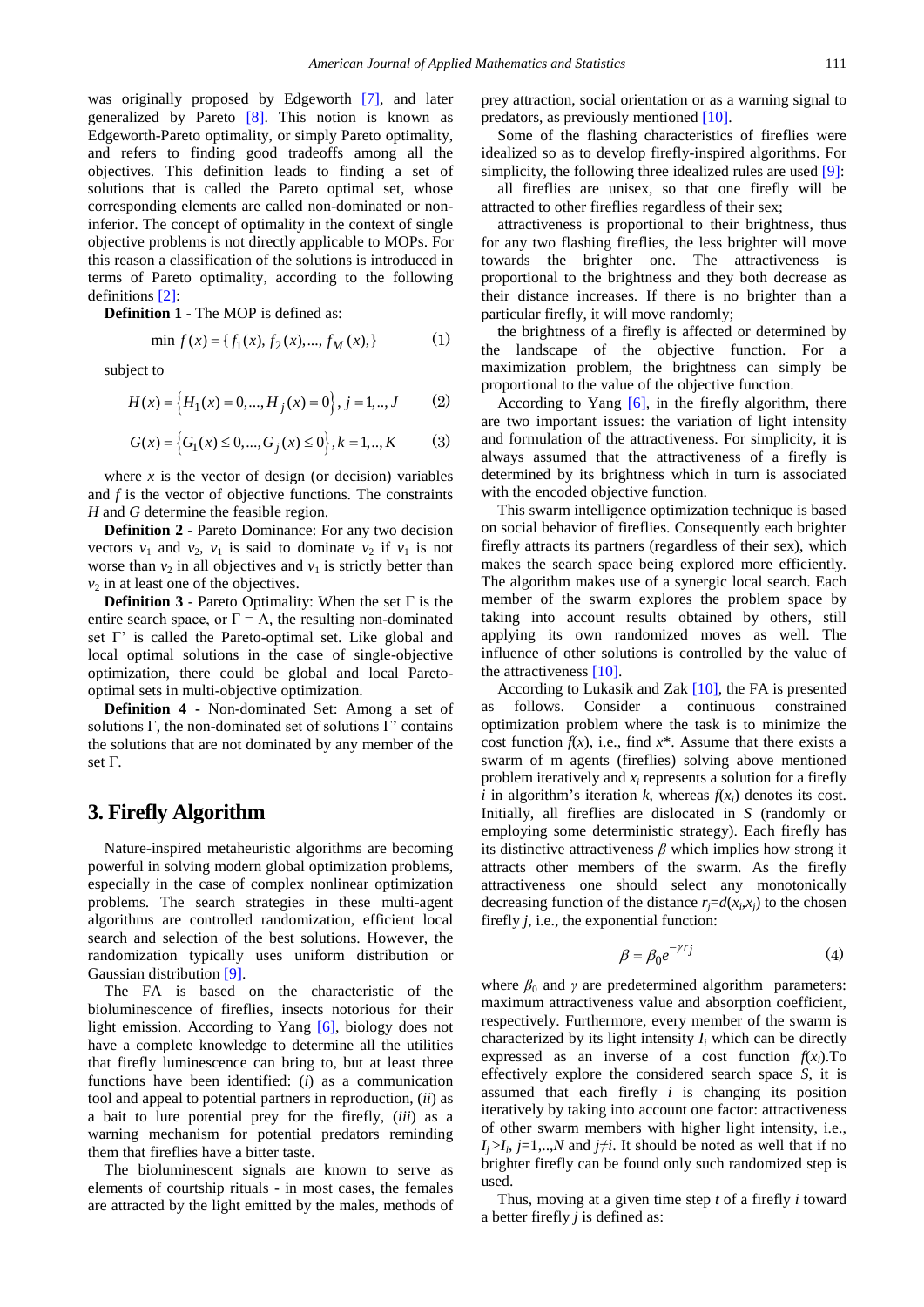was originally proposed by Edgeworth [\[7\],](#page-6-4) and later generalized by Pareto [\[8\].](#page-6-5) This notion is known as Edgeworth-Pareto optimality, or simply Pareto optimality, and refers to finding good tradeoffs among all the objectives. This definition leads to finding a set of solutions that is called the Pareto optimal set, whose corresponding elements are called non-dominated or noninferior. The concept of optimality in the context of single objective problems is not directly applicable to MOPs. For this reason a classification of the solutions is introduced in terms of Pareto optimality, according to the following definitions [\[2\]:](#page-6-1)

**Definition 1** - The MOP is defined as:

$$
\min f(x) = \{f_1(x), f_2(x), \dots, f_M(x)\}\tag{1}
$$

subject to

$$
H(x) = \left\{ H_1(x) = 0, ..., H_j(x) = 0 \right\}, j = 1, ..., J \tag{2}
$$

$$
G(x) = \left\{ G_1(x) \le 0, ..., G_j(x) \le 0 \right\}, k = 1, ..., K \tag{3}
$$

where  $x$  is the vector of design (or decision) variables and *f* is the vector of objective functions. The constraints *H* and *G* determine the feasible region.

**Definition 2** - Pareto Dominance: For any two decision vectors  $v_1$  and  $v_2$ ,  $v_1$  is said to dominate  $v_2$  if  $v_1$  is not worse than  $v_2$  in all objectives and  $v_1$  is strictly better than  $v_2$  in at least one of the objectives.

**Definition 3** - Pareto Optimality: When the set  $\Gamma$  is the entire search space, or  $\Gamma = \Lambda$ , the resulting non-dominated set Γ' is called the Pareto-optimal set. Like global and local optimal solutions in the case of single-objective optimization, there could be global and local Paretooptimal sets in multi-objective optimization.

**Definition 4 -** Non-dominated Set: Among a set of solutions Γ, the non-dominated set of solutions Γ' contains the solutions that are not dominated by any member of the set Γ.

# **3. Firefly Algorithm**

Nature-inspired metaheuristic algorithms are becoming powerful in solving modern global optimization problems, especially in the case of complex nonlinear optimization problems. The search strategies in these multi-agent algorithms are controlled randomization, efficient local search and selection of the best solutions. However, the randomization typically uses uniform distribution or Gaussian distribution [\[9\].](#page-6-6)

The FA is based on the characteristic of the bioluminescence of fireflies, insects notorious for their light emission. According to Yang [\[6\],](#page-6-3) biology does not have a complete knowledge to determine all the utilities that firefly luminescence can bring to, but at least three functions have been identified: (*i*) as a communication tool and appeal to potential partners in reproduction, (*ii*) as a bait to lure potential prey for the firefly, (*iii*) as a warning mechanism for potential predators reminding them that fireflies have a bitter taste.

The bioluminescent signals are known to serve as elements of courtship rituals - in most cases, the females are attracted by the light emitted by the males, methods of prey attraction, social orientation or as a warning signal to predators, as previously mentioned [\[10\].](#page-6-7)

Some of the flashing characteristics of fireflies were idealized so as to develop firefly-inspired algorithms. For simplicity, the following three idealized rules are used [\[9\]:](#page-6-6)

all fireflies are unisex, so that one firefly will be attracted to other fireflies regardless of their sex;

attractiveness is proportional to their brightness, thus for any two flashing fireflies, the less brighter will move towards the brighter one. The attractiveness is proportional to the brightness and they both decrease as their distance increases. If there is no brighter than a particular firefly, it will move randomly;

the brightness of a firefly is affected or determined by the landscape of the objective function. For a maximization problem, the brightness can simply be proportional to the value of the objective function.

According to Yang  $[6]$ , in the firefly algorithm, there are two important issues: the variation of light intensity and formulation of the attractiveness. For simplicity, it is always assumed that the attractiveness of a firefly is determined by its brightness which in turn is associated with the encoded objective function.

This swarm intelligence optimization technique is based on social behavior of fireflies. Consequently each brighter firefly attracts its partners (regardless of their sex), which makes the search space being explored more efficiently. The algorithm makes use of a synergic local search. Each member of the swarm explores the problem space by taking into account results obtained by others, still applying its own randomized moves as well. The influence of other solutions is controlled by the value of the attractiveness [\[10\].](#page-6-7)

According to Lukasik and Zak [\[10\],](#page-6-7) the FA is presented as follows. Consider a continuous constrained optimization problem where the task is to minimize the cost function  $f(x)$ , i.e., find  $x^*$ . Assume that there exists a swarm of m agents (fireflies) solving above mentioned problem iteratively and  $x_i$  represents a solution for a firefly *i* in algorithm's iteration *k*, whereas  $f(x_i)$  denotes its cost. Initially, all fireflies are dislocated in *S* (randomly or employing some deterministic strategy). Each firefly has its distinctive attractiveness *β* which implies how strong it attracts other members of the swarm. As the firefly attractiveness one should select any monotonically decreasing function of the distance  $r_j = d(x_i, x_j)$  to the chosen firefly *j*, i.e., the exponential function:

$$
\beta = \beta_0 e^{-\gamma r_j} \tag{4}
$$

where  $\beta_0$  and  $\gamma$  are predetermined algorithm parameters: maximum attractiveness value and absorption coefficient, respectively. Furthermore, every member of the swarm is characterized by its light intensity  $I_i$  which can be directly expressed as an inverse of a cost function  $f(x_i)$ . To effectively explore the considered search space *S*, it is assumed that each firefly *i* is changing its position iteratively by taking into account one factor: attractiveness of other swarm members with higher light intensity, i.e.,  $I_i > I_i$ , *j*=1,..,*N* and *j*≠*i*. It should be noted as well that if no brighter firefly can be found only such randomized step is used.

Thus, moving at a given time step *t* of a firefly *i* toward a better firefly *j* is defined as: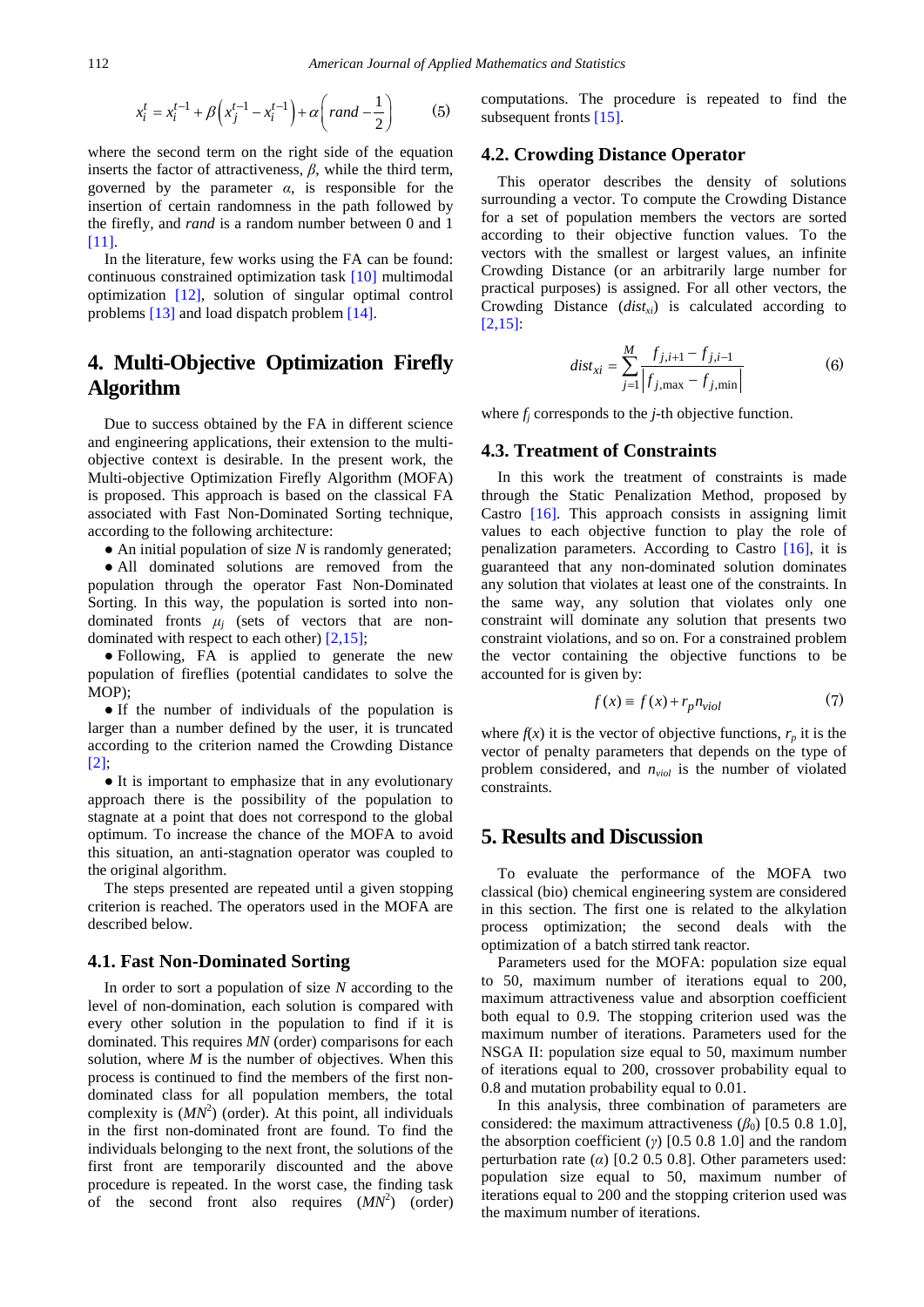$$
x_i^t = x_i^{t-1} + \beta \left( x_j^{t-1} - x_i^{t-1} \right) + \alpha \left( \text{rand} - \frac{1}{2} \right) \tag{5}
$$

where the second term on the right side of the equation inserts the factor of attractiveness, *β*, while the third term, governed by the parameter  $\alpha$ , is responsible for the insertion of certain randomness in the path followed by the firefly, and *rand* is a random number between 0 and 1 [\[11\].](#page-6-8)

In the literature, few works using the FA can be found: continuous constrained optimization task [\[10\]](#page-6-7) multimodal optimization [\[12\],](#page-6-9) solution of singular optimal control problems [\[13\]](#page-6-10) and load dispatch problem [\[14\].](#page-6-11)

# **4. Multi-Objective Optimization Firefly Algorithm**

Due to success obtained by the FA in different science and engineering applications, their extension to the multiobjective context is desirable. In the present work, the Multi-objective Optimization Firefly Algorithm (MOFA) is proposed. This approach is based on the classical FA associated with Fast Non-Dominated Sorting technique, according to the following architecture:

• An initial population of size *N* is randomly generated;

● All dominated solutions are removed from the population through the operator Fast Non-Dominated Sorting. In this way, the population is sorted into nondominated fronts  $\mu_j$  (sets of vectors that are nondominated with respect to each other) [\[2,15\];](#page-6-1)

● Following, FA is applied to generate the new population of fireflies (potential candidates to solve the MOP);

● If the number of individuals of the population is larger than a number defined by the user, it is truncated according to the criterion named the Crowding Distance [\[2\];](#page-6-1)

● It is important to emphasize that in any evolutionary approach there is the possibility of the population to stagnate at a point that does not correspond to the global optimum. To increase the chance of the MOFA to avoid this situation, an anti-stagnation operator was coupled to the original algorithm.

The steps presented are repeated until a given stopping criterion is reached. The operators used in the MOFA are described below.

#### **4.1. Fast Non-Dominated Sorting**

In order to sort a population of size *N* according to the level of non-domination, each solution is compared with every other solution in the population to find if it is dominated. This requires *MN* (order) comparisons for each solution, where  $M$  is the number of objectives. When this process is continued to find the members of the first nondominated class for all population members, the total complexity is  $(MN^2)$  (order). At this point, all individuals in the first non-dominated front are found. To find the individuals belonging to the next front, the solutions of the first front are temporarily discounted and the above procedure is repeated. In the worst case, the finding task of the second front also requires  $(MN^2)$  (order)

computations. The procedure is repeated to find the subsequent fronts [\[15\].](#page-6-12)

#### **4.2. Crowding Distance Operator**

This operator describes the density of solutions surrounding a vector. To compute the Crowding Distance for a set of population members the vectors are sorted according to their objective function values. To the vectors with the smallest or largest values, an infinite Crowding Distance (or an arbitrarily large number for practical purposes) is assigned. For all other vectors, the Crowding Distance (*dist<sub>xi</sub>*) is calculated according to  $[2.15]$ :

$$
dist_{xi} = \sum_{j=1}^{M} \frac{f_{j,i+1} - f_{j,i-1}}{f_{j,\max} - f_{j,\min}}
$$
 (6)

where *fj* corresponds to the *j*-th objective function.

#### **4.3. Treatment of Constraints**

In this work the treatment of constraints is made through the Static Penalization Method, proposed by Castro [\[16\].](#page-6-13) This approach consists in assigning limit values to each objective function to play the role of penalization parameters. According to Castro [\[16\],](#page-6-13) it is guaranteed that any non-dominated solution dominates any solution that violates at least one of the constraints. In the same way, any solution that violates only one constraint will dominate any solution that presents two constraint violations, and so on. For a constrained problem the vector containing the objective functions to be accounted for is given by:

$$
f(x) \equiv f(x) + r_p n_{\text{viol}} \tag{7}
$$

where  $f(x)$  it is the vector of objective functions,  $r_p$  it is the vector of penalty parameters that depends on the type of problem considered, and  $n_{\text{viol}}$  is the number of violated constraints.

## **5. Results and Discussion**

To evaluate the performance of the MOFA two classical (bio) chemical engineering system are considered in this section. The first one is related to the alkylation process optimization; the second deals with the optimization of a batch stirred tank reactor.

Parameters used for the MOFA: population size equal to 50, maximum number of iterations equal to 200, maximum attractiveness value and absorption coefficient both equal to 0.9. The stopping criterion used was the maximum number of iterations. Parameters used for the NSGA II: population size equal to 50, maximum number of iterations equal to 200, crossover probability equal to 0.8 and mutation probability equal to 0.01.

In this analysis, three combination of parameters are considered: the maximum attractiveness  $(\beta_0)$  [0.5 0.8 1.0], the absorption coefficient (*γ*) [0.5 0.8 1.0] and the random perturbation rate ( $\alpha$ ) [0.2 0.5 0.8]. Other parameters used: population size equal to 50, maximum number of iterations equal to 200 and the stopping criterion used was the maximum number of iterations.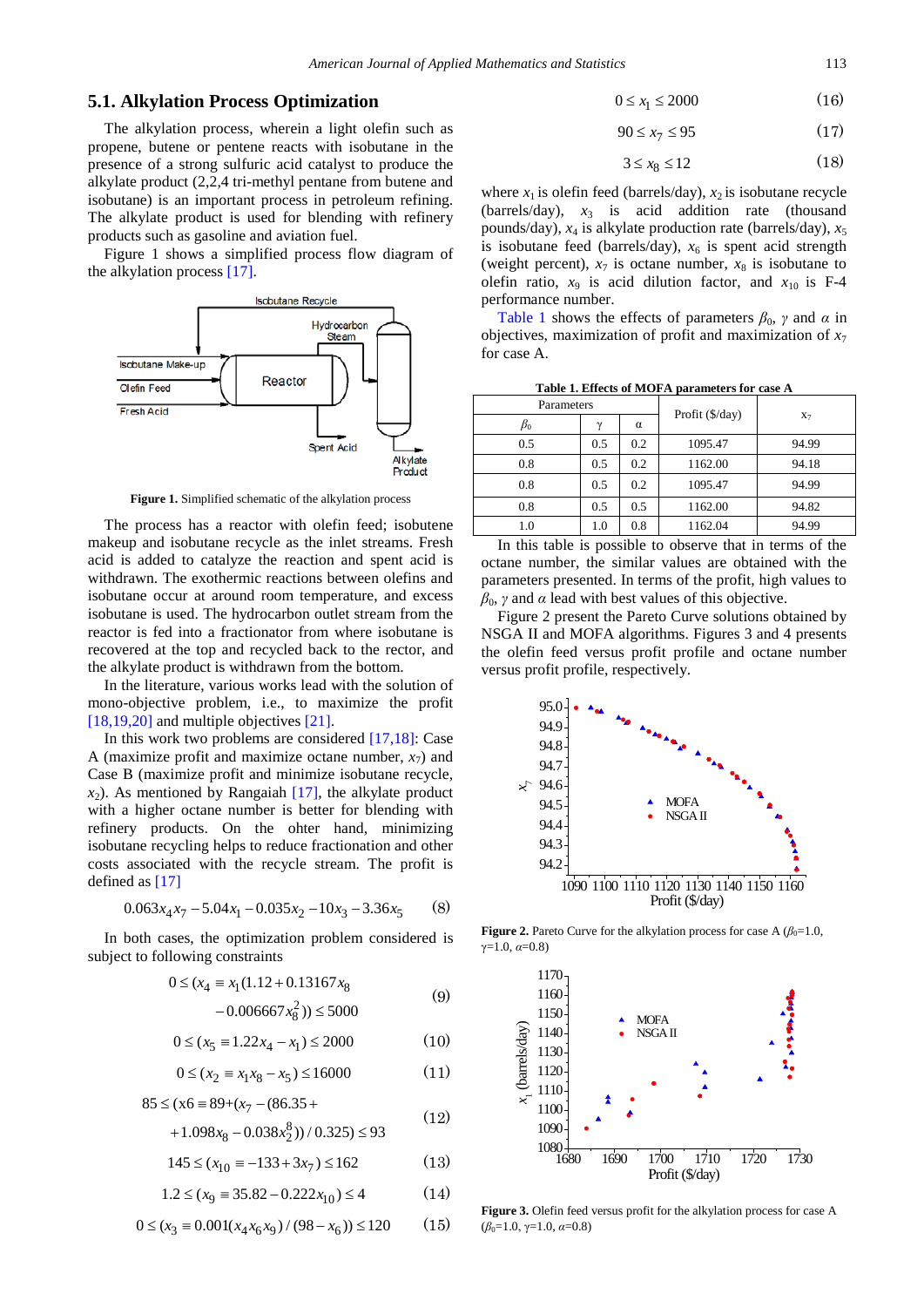#### **5.1. Alkylation Process Optimization**

The alkylation process, wherein a light olefin such as propene, butene or pentene reacts with isobutane in the presence of a strong sulfuric acid catalyst to produce the alkylate product (2,2,4 tri-methyl pentane from butene and isobutane) is an important process in petroleum refining. The alkylate product is used for blending with refinery products such as gasoline and aviation fuel.

Figure 1 shows a simplified process flow diagram of the alkylation process [\[17\].](#page-6-14)



**Figure 1.** Simplified schematic of the alkylation process

The process has a reactor with olefin feed; isobutene makeup and isobutane recycle as the inlet streams. Fresh acid is added to catalyze the reaction and spent acid is withdrawn. The exothermic reactions between olefins and isobutane occur at around room temperature, and excess isobutane is used. The hydrocarbon outlet stream from the reactor is fed into a fractionator from where isobutane is recovered at the top and recycled back to the rector, and the alkylate product is withdrawn from the bottom.

In the literature, various works lead with the solution of mono-objective problem, i.e., to maximize the profit [\[18,19,20\]](#page-6-15) and multiple objectives [\[21\].](#page-6-16)

In this work two problems are considered [\[17,18\]:](#page-6-14) Case A (maximize profit and maximize octane number,  $x_7$ ) and Case B (maximize profit and minimize isobutane recycle,  $x<sub>2</sub>$ ). As mentioned by Rangaiah [\[17\],](#page-6-14) the alkylate product with a higher octane number is better for blending with refinery products. On the ohter hand, minimizing isobutane recycling helps to reduce fractionation and other costs associated with the recycle stream. The profit is defined as [\[17\]](#page-6-14)

$$
0.063x_4x_7 - 5.04x_1 - 0.035x_2 - 10x_3 - 3.36x_5 \tag{8}
$$

In both cases, the optimization problem considered is subject to following constraints

$$
0 \le (x_4 \equiv x_1(1.12 + 0.13167 x_8 - 0.006667 x_8^2)) \le 5000
$$
 (9)

$$
0 \le (x_5 \equiv 1.22x_4 - x_1) \le 2000 \tag{10}
$$

$$
0 \le (x_2 \equiv x_1 x_8 - x_5) \le 16000 \tag{11}
$$

$$
85 \le (x6 \equiv 89 + (x_7 - (86.35 +
$$

$$
+1.098x_8 - 0.038x_2^8) / 0.325 \le 93
$$

$$
145 \le (x_{10} = -133 + 3x_7) \le 162 \tag{13}
$$

$$
1.2 \le (x_9 \equiv 35.82 - 0.222x_{10}) \le 4 \tag{14}
$$

$$
0 \le (x_3 \equiv 0.001(x_4x_6x_9)/(98-x_6)) \le 120 \tag{15}
$$

$$
0 \le x_1 \le 2000 \tag{16}
$$

$$
90 \le x_7 \le 95 \tag{17}
$$

$$
3 \le x_8 \le 12 \tag{18}
$$

where  $x_1$  is olefin feed (barrels/day),  $x_2$  is isobutane recycle (barrels/day),  $x_3$  is acid addition rate (thousand pounds/day), *x*<sup>4</sup> is alkylate production rate (barrels/day), *x*<sup>5</sup> is isobutane feed (barrels/day),  $x<sub>6</sub>$  is spent acid strength (weight percent),  $x_7$  is octane number,  $x_8$  is isobutane to olefin ratio,  $x_9$  is acid dilution factor, and  $x_{10}$  is F-4 performance number.

[Table 1](#page-3-0) shows the effects of parameters  $\beta_0$ , *γ* and *α* in objectives, maximization of profit and maximization of  $x_7$ for case A.

| Table 1. Effects of MOFA parameters for case A |  |
|------------------------------------------------|--|
|------------------------------------------------|--|

<span id="page-3-0"></span>

| Parameters |          |          |                 |       |  |
|------------|----------|----------|-----------------|-------|--|
| $\beta_0$  | $\gamma$ | $\alpha$ | Profit (\$/day) | $X_7$ |  |
| 0.5        | 0.5      | 0.2      | 1095.47         | 94.99 |  |
| 0.8        | 0.5      | 0.2      | 1162.00         | 94.18 |  |
| 0.8        | 0.5      | 0.2      | 1095.47         | 94.99 |  |
| 0.8        | 0.5      | 0.5      | 1162.00         | 94.82 |  |
| 1.0        | 1.0      | 0.8      | 1162.04         | 94.99 |  |

In this table is possible to observe that in terms of the octane number, the similar values are obtained with the parameters presented. In terms of the profit, high values to  $β_0$ , *γ* and *α* lead with best values of this objective.

Figure 2 present the Pareto Curve solutions obtained by NSGA II and MOFA algorithms. Figures 3 and 4 presents the olefin feed versus profit profile and octane number versus profit profile, respectively.



**Figure 2.** Pareto Curve for the alkylation process for case A  $(\beta_0=1.0,$  $v=1.0, \alpha=0.8$ 



**Figure 3.** Olefin feed versus profit for the alkylation process for case A  $(\beta_0=1.0, \gamma=1.0, \alpha=0.8)$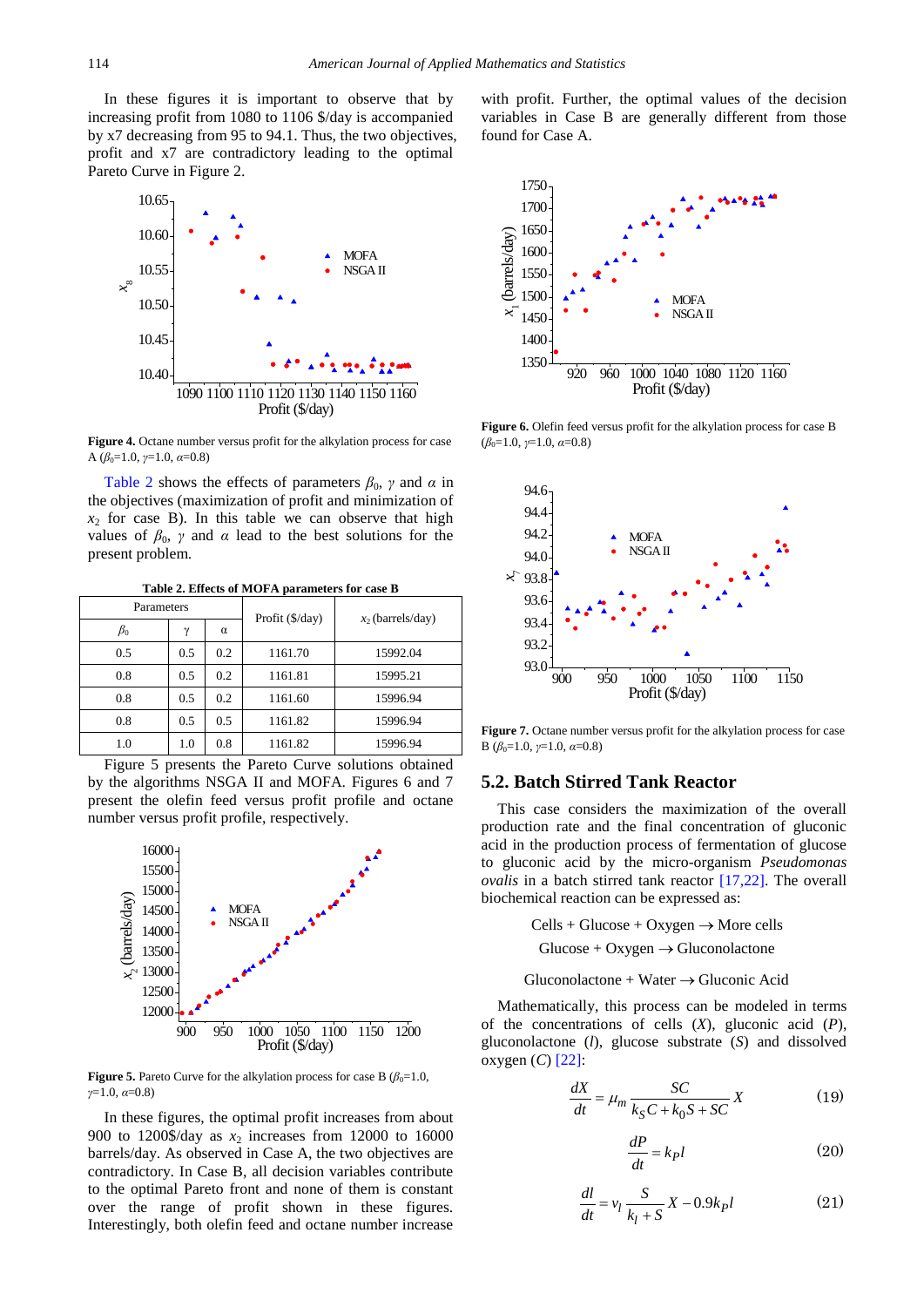In these figures it is important to observe that by increasing profit from 1080 to 1106 \$/day is accompanied by x7 decreasing from 95 to 94.1. Thus, the two objectives, profit and x7 are contradictory leading to the optimal Pareto Curve in Figure 2.



**Figure 4.** Octane number versus profit for the alkylation process for case A (*β*0=1.0, *γ*=1.0, *α*=0.8)

[Table 2](#page-4-0) shows the effects of parameters  $\beta_0$ ,  $\gamma$  and  $\alpha$  in the objectives (maximization of profit and minimization of  $x_2$  for case B). In this table we can observe that high values of  $\beta_0$ , *γ* and *α* lead to the best solutions for the present problem.

**Table 2. Effects of MOFA parameters for case B**

<span id="page-4-0"></span>

| Parameters |          |     | Profit (\$/day) | $x_2$ (barrels/day) |  |
|------------|----------|-----|-----------------|---------------------|--|
| $\beta_0$  | $\gamma$ | α   |                 |                     |  |
| 0.5        | 0.5      | 0.2 | 1161.70         | 15992.04            |  |
| 0.8        | 0.5      | 0.2 | 1161.81         | 15995.21            |  |
| 0.8        | 0.5      | 0.2 | 1161.60         | 15996.94            |  |
| 0.8        | 0.5      | 0.5 | 1161.82         | 15996.94            |  |
| 1.0        | 1.0      | 0.8 | 1161.82         | 15996.94            |  |

Figure 5 presents the Pareto Curve solutions obtained by the algorithms NSGA II and MOFA. Figures 6 and 7 present the olefin feed versus profit profile and octane number versus profit profile, respectively.



**Figure 5.** Pareto Curve for the alkylation process for case B  $(\beta_0=1.0,$ *γ*=1.0, *α*=0.8)

In these figures, the optimal profit increases from about 900 to 1200\$/day as  $x_2$  increases from 12000 to 16000 barrels/day. As observed in Case A, the two objectives are contradictory. In Case B, all decision variables contribute to the optimal Pareto front and none of them is constant over the range of profit shown in these figures. Interestingly, both olefin feed and octane number increase

with profit. Further, the optimal values of the decision variables in Case B are generally different from those found for Case A.



**Figure 6.** Olefin feed versus profit for the alkylation process for case B  $(\beta_0=1.0, \nu=1.0, \alpha=0.8)$ 



**Figure 7.** Octane number versus profit for the alkylation process for case B ( $β$ <sub>0</sub>=1.0, *γ*=1.0, *α*=0.8)

#### **5.2. Batch Stirred Tank Reactor**

This case considers the maximization of the overall production rate and the final concentration of gluconic acid in the production process of fermentation of glucose to gluconic acid by the micro-organism *Pseudomonas ovalis* in a batch stirred tank reactor [\[17,22\].](#page-6-14) The overall biochemical reaction can be expressed as:

 $Cells + Glucose + Oxygen \rightarrow More cells$ 

 $Glucose + Oxygen \rightarrow Gluconolactone$ 

Gluconolactone + Water  $\rightarrow$  Gluconic Acid

Mathematically, this process can be modeled in terms of the concentrations of cells (*X*), gluconic acid (*P*), gluconolactone (*l*), glucose substrate (*S*) and dissolved oxygen (*C*) [\[22\]:](#page-6-17)

$$
\frac{dX}{dt} = \mu_m \frac{SC}{k_S C + k_0 S + SC} X \tag{19}
$$

$$
\frac{dP}{dt} = k_P l \tag{20}
$$

$$
\frac{dl}{dt} = v_l \frac{S}{k_l + S} X - 0.9k_l \tag{21}
$$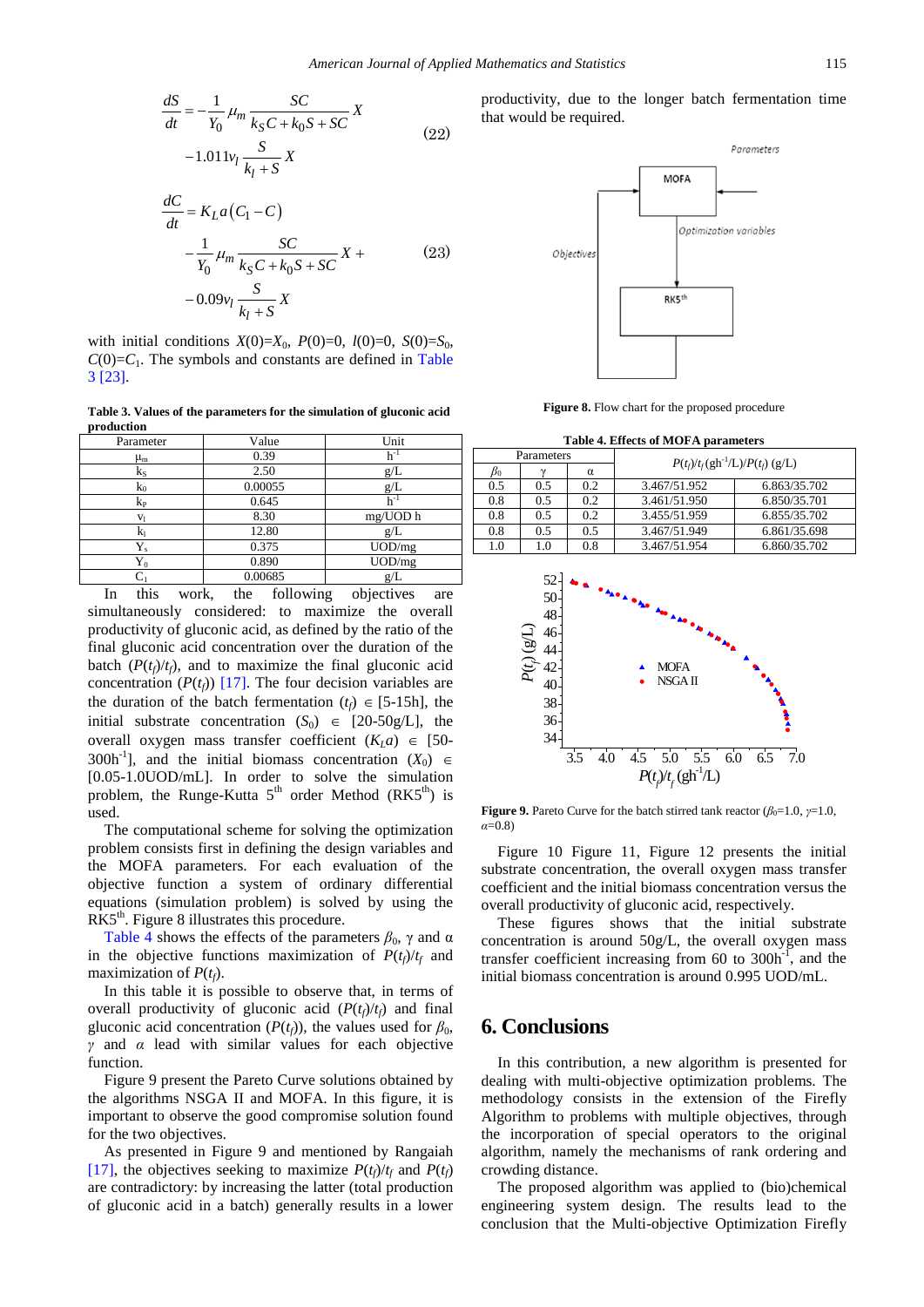$$
\frac{dS}{dt} = -\frac{1}{Y_0} \mu_m \frac{SC}{k_S C + k_0 S + SC} X
$$
  
-1.011 $v_l \frac{S}{k_l + S} X$  (22)

$$
\frac{dC}{dt} = K_{L}a(C_{1} - C)
$$
\n
$$
-\frac{1}{Y_{0}}\mu_{m}\frac{SC}{k_{S}C + k_{0}S + SC}X +
$$
\n
$$
-0.09v_{l}\frac{S}{k_{l} + S}X
$$
\n(23)

with initial conditions  $X(0)=X_0$ ,  $P(0)=0$ ,  $l(0)=0$ ,  $S(0)=S_0$ ,  $C(0)=C_1$ . The symbols and constants are defined in Table [3](#page-5-0) [\[23\].](#page-6-18)

**Table 3. Values of the parameters for the simulation of gluconic acid production**

<span id="page-5-0"></span>

| Parameter                             | Value                                                         | Unit                                  |
|---------------------------------------|---------------------------------------------------------------|---------------------------------------|
| $\mu_{\rm m}$                         | 0.39                                                          | $h^{-1}$                              |
| $k_{S}$                               | 2.50                                                          | g/L                                   |
| $k_0$                                 | 0.00055                                                       | g/L                                   |
| $k_{P}$                               | 0.645                                                         | $h^{-1}$                              |
| V <sub>1</sub>                        | 8.30                                                          | mg/UOD h                              |
| k۱                                    | 12.80                                                         | g/L                                   |
| $Y_{s}$                               | 0.375                                                         | UOD/mg                                |
| ${\rm Y}_0$                           | 0.890                                                         | UOD/mg                                |
|                                       | 0.00685                                                       | g/L                                   |
| $41.3 -$<br>$T_{\text{max}}$<br>. 1 . | $\mathcal{L}$ and $\mathcal{L}$ and $\mathcal{L}$<br>$-1 - -$ | المستحققة والمستحدث والمستريح<br>---- |

In this work, the following objectives are simultaneously considered: to maximize the overall productivity of gluconic acid, as defined by the ratio of the final gluconic acid concentration over the duration of the batch  $(P(t_f)/t_f)$ , and to maximize the final gluconic acid concentration  $(P(t_f))$  [\[17\].](#page-6-14) The four decision variables are the duration of the batch fermentation  $(t_f) \in [5-15h]$ , the initial substrate concentration  $(S_0) \in [20-50g/L]$ , the overall oxygen mass transfer coefficient  $(K<sub>1</sub>a) \in [50-$ 300h<sup>-1</sup>], and the initial biomass concentration  $(X_0) \in$ [0.05-1.0UOD/mL]. In order to solve the simulation problem, the Runge-Kutta  $5<sup>th</sup>$  order Method (RK $5<sup>th</sup>$ ) is used.

The computational scheme for solving the optimization problem consists first in defining the design variables and the MOFA parameters. For each evaluation of the objective function a system of ordinary differential equations (simulation problem) is solved by using the RK5<sup>th</sup>. Figure 8 illustrates this procedure.

[Table 4](#page-5-1) shows the effects of the parameters  $\beta_0$ ,  $\gamma$  and  $\alpha$ in the objective functions maximization of  $P(t_f)/t_f$  and maximization of  $P(t_f)$ .

In this table it is possible to observe that, in terms of overall productivity of gluconic acid  $(P(t_f)/t_f)$  and final gluconic acid concentration ( $P(t_f)$ ), the values used for  $\beta_0$ , *γ* and *α* lead with similar values for each objective function.

Figure 9 present the Pareto Curve solutions obtained by the algorithms NSGA II and MOFA. In this figure, it is important to observe the good compromise solution found for the two objectives.

As presented in Figure 9 and mentioned by Rangaiah [\[17\],](#page-6-14) the objectives seeking to maximize  $P(t_f)/t_f$  and  $P(t_f)$ are contradictory: by increasing the latter (total production of gluconic acid in a batch) generally results in a lower productivity, due to the longer batch fermentation time that would be required.



**Figure 8.** Flow chart for the proposed procedure

**Table 4. Effects of MOFA parameters**

<span id="page-5-1"></span>

| Parameters |        |          |                                                                 |              |
|------------|--------|----------|-----------------------------------------------------------------|--------------|
| $B_0$      | $\sim$ | $\alpha$ | $P(t_f)/t_f(\text{gh}^{-1}/\text{L})/P(t_f)(\text{g}/\text{L})$ |              |
| 0.5        | 0.5    | 0.2      | 3.467/51.952                                                    | 6.863/35.702 |
| 0.8        | 0.5    | 0.2      | 3.461/51.950                                                    | 6.850/35.701 |
| 0.8        | 0.5    | 0.2      | 3.455/51.959                                                    | 6.855/35.702 |
| 0.8        | 0.5    | 0.5      | 3.467/51.949                                                    | 6.861/35.698 |
| 1.0        | 1.0    | 0.8      | 3.467/51.954                                                    | 6.860/35.702 |



**Figure 9.** Pareto Curve for the batch stirred tank reactor  $(\beta_0=1.0, \gamma=1.0, \gamma=1.0, \gamma=1.0)$ *α*=0.8)

Figure 10 Figure 11, Figure 12 presents the initial substrate concentration, the overall oxygen mass transfer coefficient and the initial biomass concentration versus the overall productivity of gluconic acid, respectively.

These figures shows that the initial substrate concentration is around 50g/L, the overall oxygen mass transfer coefficient increasing from 60 to  $300h^{-1}$ , and the initial biomass concentration is around 0.995 UOD/mL.

# **6. Conclusions**

In this contribution, a new algorithm is presented for dealing with multi-objective optimization problems. The methodology consists in the extension of the Firefly Algorithm to problems with multiple objectives, through the incorporation of special operators to the original algorithm, namely the mechanisms of rank ordering and crowding distance.

The proposed algorithm was applied to (bio)chemical engineering system design. The results lead to the conclusion that the Multi-objective Optimization Firefly